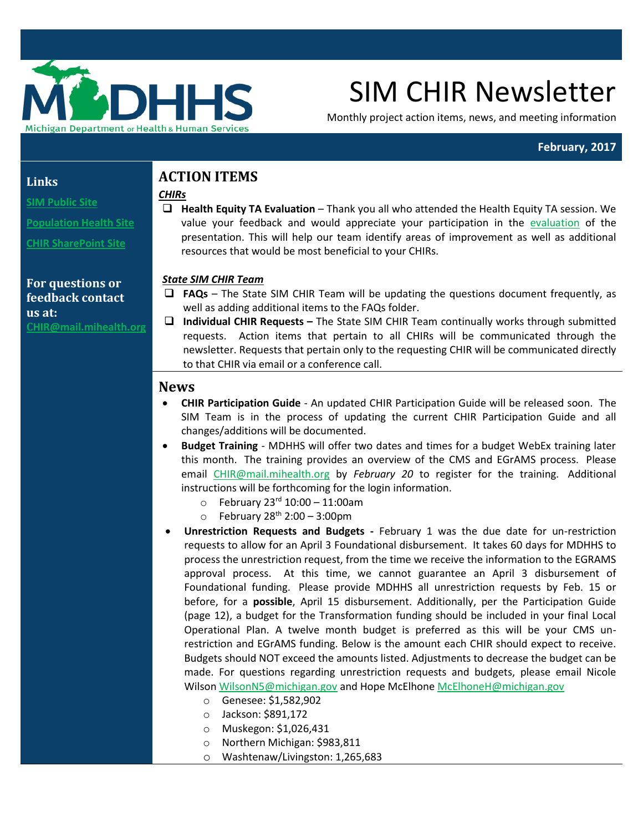

# SIM CHIR Newsletter

Monthly project action items, news, and meeting information

### **February, 2017**

## **Links**

**[SIM Public Site](http://www.michigan.gov/mdhhs/0,5885,7-339-71551_2945_64491_76092---,00.html)**

**[Population Health Site](http://www.michigan.gov/mdhhs/0,5885,7-339-71551_2945_64491_76092_77453---,00.html)**

**[CHIR SharePoint Site](https://stateofmichigan.sharepoint.com/teams/dhhs/bic/msacss/SIM/SitePages/CHIR.aspx)**

**For questions or feedback contact us at: C[HIR@mail.mihealth.org](mailto:CHIR@mail.mihealth.org)**

## **ACTION ITEMS**

#### *CHIRs*

 **Health Equity TA Evaluation** – Thank you all who attended the Health Equity TA session. We value your feedback and would appreciate your participation in the [evaluation](https://www.surveymonkey.com/r/8JXFQMD) of the presentation. This will help our team identify areas of improvement as well as additional resources that would be most beneficial to your CHIRs.

### *State SIM CHIR Team*

- **FAQs**  The State SIM CHIR Team will be updating the questions document frequently, as well as adding additional items to the FAQs folder.
- **Individual CHIR Requests –** The State SIM CHIR Team continually works through submitted requests. Action items that pertain to all CHIRs will be communicated through the newsletter. Requests that pertain only to the requesting CHIR will be communicated directly to that CHIR via email or a conference call.

## **News**

- **CHIR Participation Guide** An updated CHIR Participation Guide will be released soon. The SIM Team is in the process of updating the current CHIR Participation Guide and all changes/additions will be documented.
- **Budget Training** MDHHS will offer two dates and times for a budget WebEx training later this month. The training provides an overview of the CMS and EGrAMS process. Please email [CHIR@mail.mihealth.org](mailto:CHIR@mail.mihealth.org) by *February 20* to register for the training. Additional instructions will be forthcoming for the login information.
	- $\circ$  February 23<sup>rd</sup> 10:00 11:00am
	- $\circ$  February 28<sup>th</sup> 2:00 3:00pm
- **Unrestriction Requests and Budgets -** February 1 was the due date for un-restriction requests to allow for an April 3 Foundational disbursement. It takes 60 days for MDHHS to process the unrestriction request, from the time we receive the information to the EGRAMS approval process. At this time, we cannot guarantee an April 3 disbursement of Foundational funding. Please provide MDHHS all unrestriction requests by Feb. 15 or before, for a **possible**, April 15 disbursement. Additionally, per the Participation Guide (page 12), a budget for the Transformation funding should be included in your final Local Operational Plan. A twelve month budget is preferred as this will be your CMS unrestriction and EGrAMS funding. Below is the amount each CHIR should expect to receive. Budgets should NOT exceed the amounts listed. Adjustments to decrease the budget can be made. For questions regarding unrestriction requests and budgets, please email Nicole Wilso[n WilsonN5@michigan.gov](mailto:WilsonN5@michigan.gov) and Hope McElhon[e McElhoneH@michigan.gov](mailto:McElhoneH@michigan.gov)
	- o Genesee: \$1,582,902
	- o Jackson: \$891,172
	- o Muskegon: \$1,026,431
	- o Northern Michigan: \$983,811
	- o Washtenaw/Livingston: 1,265,683